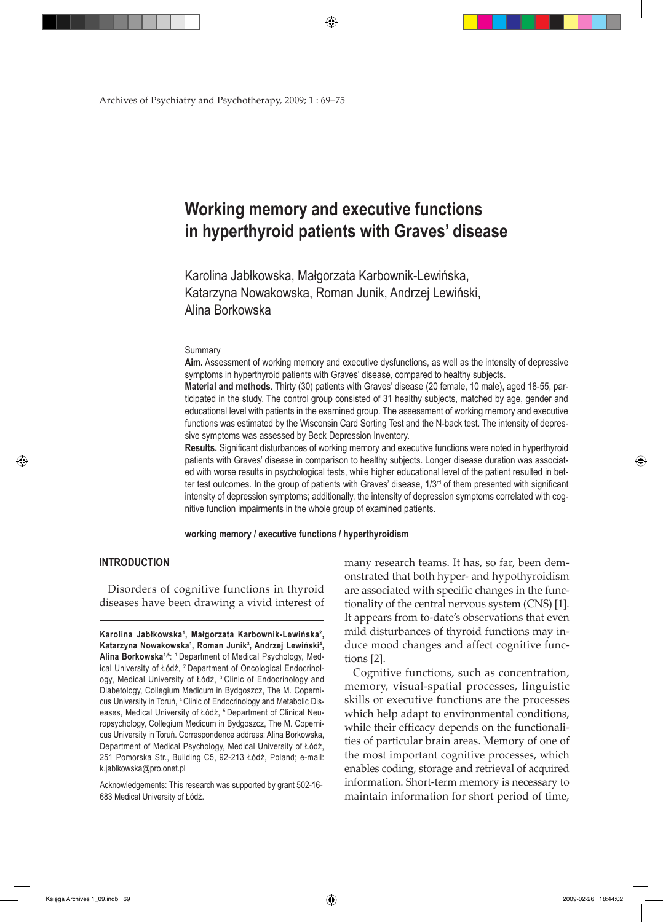⊕

Archives of Psychiatry and Psychotherapy, 2009; 1 : 69–75

# **Working memory and executive functions in hyperthyroid patients with Graves' disease**

Karolina Jabłkowska, Małgorzata Karbownik-Lewińska, Katarzyna Nowakowska, Roman Junik, Andrzej Lewiński, Alina Borkowska

#### Summary

**Aim.** Assessment of working memory and executive dysfunctions, as well as the intensity of depressive symptoms in hyperthyroid patients with Graves' disease, compared to healthy subjects.

**Material and methods**. Thirty (30) patients with Graves' disease (20 female, 10 male), aged 18-55, participated in the study. The control group consisted of 31 healthy subjects, matched by age, gender and educational level with patients in the examined group. The assessment of working memory and executive functions was estimated by the Wisconsin Card Sorting Test and the N-back test. The intensity of depressive symptoms was assessed by Beck Depression Inventory.

**Results.** Significant disturbances of working memory and executive functions were noted in hyperthyroid patients with Graves' disease in comparison to healthy subjects. Longer disease duration was associated with worse results in psychological tests, while higher educational level of the patient resulted in better test outcomes. In the group of patients with Graves' disease,  $1/3<sup>rd</sup>$  of them presented with significant intensity of depression symptoms; additionally, the intensity of depression symptoms correlated with cognitive function impairments in the whole group of examined patients.

**working memory / executive functions / hyperthyroidism**

## **INTRODUCTION**

⊕

Disorders of cognitive functions in thyroid diseases have been drawing a vivid interest of

Acknowledgements: This research was supported by grant 502-16- 683 Medical University of Łódź.

many research teams. It has, so far, been demonstrated that both hyper- and hypothyroidism are associated with specific changes in the functionality of the central nervous system (CNS) [1]. It appears from to-date's observations that even mild disturbances of thyroid functions may induce mood changes and affect cognitive functions [2].

Cognitive functions, such as concentration, memory, visual-spatial processes, linguistic skills or executive functions are the processes which help adapt to environmental conditions, while their efficacy depends on the functionalities of particular brain areas. Memory of one of the most important cognitive processes, which enables coding, storage and retrieval of acquired information. Short-term memory is necessary to maintain information for short period of time,

Księga Archives 1\_09.indb 69 2009-02-26 18:44:02

**Karolina Jabłkowska<sup>1</sup> , Małgorzata Karbownik-Lewińska<sup>2</sup> , Katarzyna Nowakowska1 , Roman Junik3 , Andrzej Lewiński<sup>4</sup> , Alina Borkowska1,5**: 1 Department of Medical Psychology, Medical University of Łódź, 2 Department of Oncological Endocrinology, Medical University of Łódź, <sup>3</sup> Clinic of Endocrinology and Diabetology, Collegium Medicum in Bydgoszcz, The M. Copernicus University in Toruń, 4 Clinic of Endocrinology and Metabolic Diseases, Medical University of Łódź, <sup>5</sup> Department of Clinical Neuropsychology, Collegium Medicum in Bydgoszcz, The M. Copernicus University in Toruń. Correspondence address: Alina Borkowska, Department of Medical Psychology, Medical University of Łódź, 251 Pomorska Str., Building C5, 92-213 Łódź, Poland; e-mail: k.jablkowska@pro.onet.pl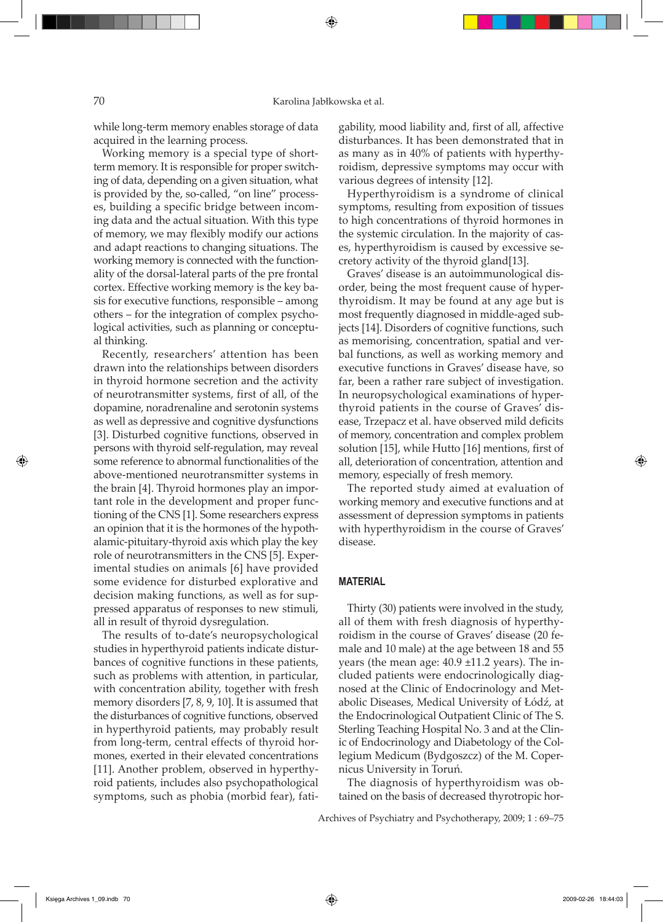⊕

while long-term memory enables storage of data acquired in the learning process.

Working memory is a special type of shortterm memory. It is responsible for proper switching of data, depending on a given situation, what is provided by the, so-called, "on line" processes, building a specific bridge between incoming data and the actual situation. With this type of memory, we may flexibly modify our actions and adapt reactions to changing situations. The working memory is connected with the functionality of the dorsal-lateral parts of the pre frontal cortex. Effective working memory is the key basis for executive functions, responsible – among others – for the integration of complex psychological activities, such as planning or conceptual thinking.

Recently, researchers' attention has been drawn into the relationships between disorders in thyroid hormone secretion and the activity of neurotransmitter systems, first of all, of the dopamine, noradrenaline and serotonin systems as well as depressive and cognitive dysfunctions [3]. Disturbed cognitive functions, observed in persons with thyroid self-regulation, may reveal some reference to abnormal functionalities of the above-mentioned neurotransmitter systems in the brain [4]. Thyroid hormones play an important role in the development and proper functioning of the CNS [1]. Some researchers express an opinion that it is the hormones of the hypothalamic-pituitary-thyroid axis which play the key role of neurotransmitters in the CNS [5]. Experimental studies on animals [6] have provided some evidence for disturbed explorative and decision making functions, as well as for suppressed apparatus of responses to new stimuli, all in result of thyroid dysregulation.

The results of to-date's neuropsychological studies in hyperthyroid patients indicate disturbances of cognitive functions in these patients, such as problems with attention, in particular, with concentration ability, together with fresh memory disorders [7, 8, 9, 10]. It is assumed that the disturbances of cognitive functions, observed in hyperthyroid patients, may probably result from long-term, central effects of thyroid hormones, exerted in their elevated concentrations [11]. Another problem, observed in hyperthyroid patients, includes also psychopathological symptoms, such as phobia (morbid fear), fatigability, mood liability and, first of all, affective disturbances. It has been demonstrated that in as many as in 40% of patients with hyperthyroidism, depressive symptoms may occur with various degrees of intensity [12].

Hyperthyroidism is a syndrome of clinical symptoms, resulting from exposition of tissues to high concentrations of thyroid hormones in the systemic circulation. In the majority of cases, hyperthyroidism is caused by excessive secretory activity of the thyroid gland[13].

Graves' disease is an autoimmunological disorder, being the most frequent cause of hyperthyroidism. It may be found at any age but is most frequently diagnosed in middle-aged subjects [14]. Disorders of cognitive functions, such as memorising, concentration, spatial and verbal functions, as well as working memory and executive functions in Graves' disease have, so far, been a rather rare subject of investigation. In neuropsychological examinations of hyperthyroid patients in the course of Graves' disease, Trzepacz et al. have observed mild deficits of memory, concentration and complex problem solution [15], while Hutto [16] mentions, first of all, deterioration of concentration, attention and memory, especially of fresh memory.

The reported study aimed at evaluation of working memory and executive functions and at assessment of depression symptoms in patients with hyperthyroidism in the course of Graves' disease.

## **MATERIAL**

Thirty (30) patients were involved in the study, all of them with fresh diagnosis of hyperthyroidism in the course of Graves' disease (20 female and 10 male) at the age between 18 and 55 years (the mean age: 40.9 ±11.2 years). The included patients were endocrinologically diagnosed at the Clinic of Endocrinology and Metabolic Diseases, Medical University of Łódź, at the Endocrinological Outpatient Clinic of The S. Sterling Teaching Hospital No. 3 and at the Clinic of Endocrinology and Diabetology of the Collegium Medicum (Bydgoszcz) of the M. Copernicus University in Toruń.

The diagnosis of hyperthyroidism was obtained on the basis of decreased thyrotropic hor-

Archives of Psychiatry and Psychotherapy, 2009; 1 : 69–75

⊕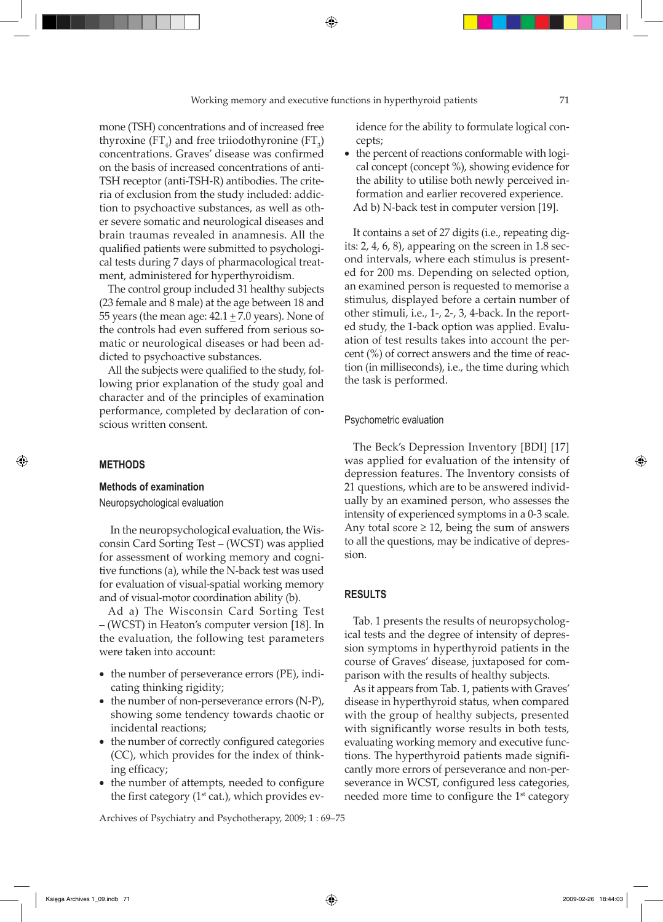## Working memory and executive functions in hyperthyroid patients 71

⊕

mone (TSH) concentrations and of increased free thyroxine  $(FT_4)$  and free triiodothyronine  $(FT_3)$ concentrations. Graves' disease was confirmed on the basis of increased concentrations of anti-TSH receptor (anti-TSH-R) antibodies. The criteria of exclusion from the study included: addiction to psychoactive substances, as well as other severe somatic and neurological diseases and brain traumas revealed in anamnesis. All the qualified patients were submitted to psychological tests during 7 days of pharmacological treatment, administered for hyperthyroidism.

The control group included 31 healthy subjects (23 female and 8 male) at the age between 18 and 55 years (the mean age:  $42.1 \pm 7.0$  years). None of the controls had even suffered from serious somatic or neurological diseases or had been addicted to psychoactive substances.

All the subjects were qualified to the study, following prior explanation of the study goal and character and of the principles of examination performance, completed by declaration of conscious written consent.

# **METHODS**

⊕

## **Methods of examination**

Neuropsychological evaluation

 In the neuropsychological evaluation, the Wisconsin Card Sorting Test – (WCST) was applied for assessment of working memory and cognitive functions (a), while the N-back test was used for evaluation of visual-spatial working memory and of visual-motor coordination ability (b).

Ad a) The Wisconsin Card Sorting Test – (WCST) in Heaton's computer version [18]. In the evaluation, the following test parameters were taken into account:

- the number of perseverance errors (PE), indicating thinking rigidity;
- the number of non-perseverance errors (N-P), showing some tendency towards chaotic or incidental reactions;
- the number of correctly configured categories (CC), which provides for the index of thinking efficacy;
- the number of attempts, needed to configure the first category ( $1<sup>st</sup>$  cat.), which provides ev-

Archives of Psychiatry and Psychotherapy, 2009; 1 : 69–75

idence for the ability to formulate logical concepts;

• the percent of reactions conformable with logical concept (concept %), showing evidence for the ability to utilise both newly perceived information and earlier recovered experience. Ad b) N-back test in computer version [19].

It contains a set of 27 digits (i.e., repeating digits: 2, 4, 6, 8), appearing on the screen in 1.8 second intervals, where each stimulus is presented for 200 ms. Depending on selected option, an examined person is requested to memorise a stimulus, displayed before a certain number of other stimuli, i.e., 1-, 2-, 3, 4-back. In the reported study, the 1-back option was applied. Evaluation of test results takes into account the percent (%) of correct answers and the time of reaction (in milliseconds), i.e., the time during which the task is performed.

#### Psychometric evaluation

The Beck's Depression Inventory [BDI] [17] was applied for evaluation of the intensity of depression features. The Inventory consists of 21 questions, which are to be answered individually by an examined person, who assesses the intensity of experienced symptoms in a 0-3 scale. Any total score  $\geq$  12, being the sum of answers to all the questions, may be indicative of depression.

# **RESULTS**

Tab. 1 presents the results of neuropsychological tests and the degree of intensity of depression symptoms in hyperthyroid patients in the course of Graves' disease, juxtaposed for comparison with the results of healthy subjects.

As it appears from Tab. 1, patients with Graves' disease in hyperthyroid status, when compared with the group of healthy subjects, presented with significantly worse results in both tests, evaluating working memory and executive functions. The hyperthyroid patients made significantly more errors of perseverance and non-perseverance in WCST, configured less categories, needed more time to configure the 1<sup>st</sup> category

Księga Archives 1\_09.indb 71 2009-02-26 18:44:03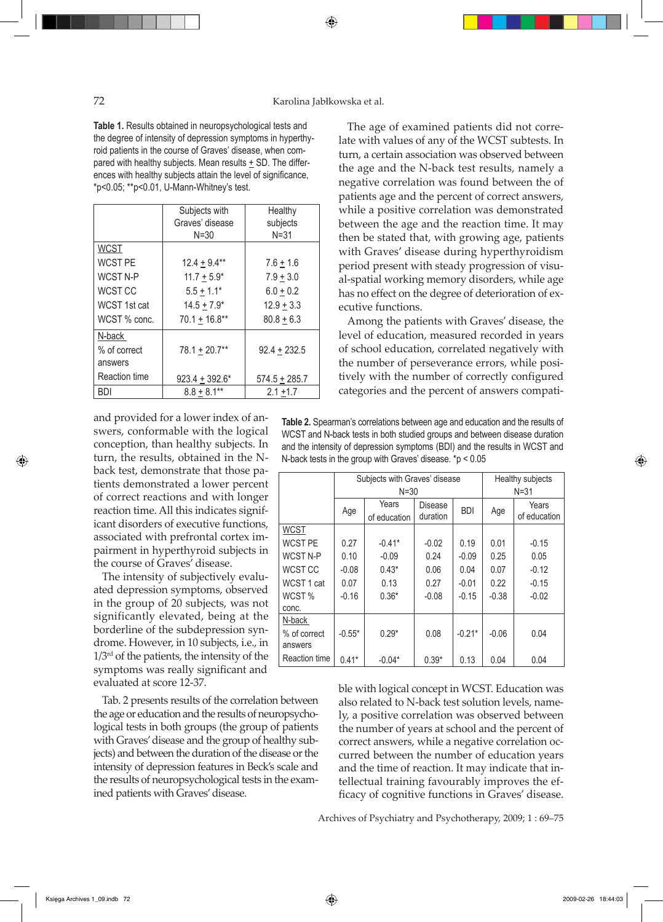## 72 Karolina Jabłkowska et al.

⊕

**Table 1.** Results obtained in neuropsychological tests and the degree of intensity of depression symptoms in hyperthyroid patients in the course of Graves' disease, when compared with healthy subjects. Mean results + SD. The differences with healthy subjects attain the level of significance, \*p<0.05; \*\*p<0.01, U-Mann-Whitney's test.

|                    | Subjects with<br>Graves' disease<br>$N = 30$ | Healthy<br>subjects<br>$N = 31$ |  |  |
|--------------------|----------------------------------------------|---------------------------------|--|--|
| <b>WCST</b>        |                                              |                                 |  |  |
| <b>WCST PE</b>     | $12.4 + 9.4**$                               | $7.6 + 1.6$                     |  |  |
| <b>WCST N-P</b>    | $11.7 \pm 5.9^*$                             | $7.9 + 3.0$                     |  |  |
| WCST <sub>CC</sub> | $5.5 + 1.1*$                                 | $6.0 + 0.2$                     |  |  |
| WCST 1st cat       | $14.5 + 7.9*$                                | $12.9 + 3.3$                    |  |  |
| WCST % conc.       | $70.1 + 16.8**$                              | $80.8 + 6.3$                    |  |  |
| N-back             |                                              |                                 |  |  |
| % of correct       | $78.1 + 20.7**$                              | $92.4 + 232.5$                  |  |  |
| answers            |                                              |                                 |  |  |
| Reaction time      | $923.4 + 392.6*$                             | $574.5 + 285.7$                 |  |  |
| <b>BDI</b>         | $8.8 + 8.1***$                               | $2.1 + 1.7$                     |  |  |

and provided for a lower index of answers, conformable with the logical conception, than healthy subjects. In turn, the results, obtained in the Nback test, demonstrate that those patients demonstrated a lower percent of correct reactions and with longer reaction time. All this indicates significant disorders of executive functions, associated with prefrontal cortex impairment in hyperthyroid subjects in the course of Graves' disease.

The intensity of subjectively evaluated depression symptoms, observed in the group of 20 subjects, was not significantly elevated, being at the borderline of the subdepression syndrome. However, in 10 subjects, i.e., in  $1/3<sup>rd</sup>$  of the patients, the intensity of the symptoms was really significant and

Tab. 2 presents results of the correlation between the age or education and the results of neuropsychological tests in both groups (the group of patients with Graves' disease and the group of healthy subjects) and between the duration of the disease or the intensity of depression features in Beck's scale and the results of neuropsychological tests in the examined patients with Graves' disease.

The age of examined patients did not correlate with values of any of the WCST subtests. In turn, a certain association was observed between the age and the N-back test results, namely a negative correlation was found between the of patients age and the percent of correct answers, while a positive correlation was demonstrated between the age and the reaction time. It may then be stated that, with growing age, patients with Graves' disease during hyperthyroidism period present with steady progression of visual-spatial working memory disorders, while age has no effect on the degree of deterioration of executive functions.

Among the patients with Graves' disease, the level of education, measured recorded in years of school education, correlated negatively with the number of perseverance errors, while positively with the number of correctly configured categories and the percent of answers compati-

**Table 2.** Spearman's correlations between age and education and the results of WCST and N-back tests in both studied groups and between disease duration and the intensity of depression symptoms (BDI) and the results in WCST and N-back tests in the group with Graves' disease. \*p < 0.05

|               |          | Subjects with Graves' disease | Healthy subjects |            |          |              |
|---------------|----------|-------------------------------|------------------|------------|----------|--------------|
|               | $N = 30$ |                               |                  |            | $N = 31$ |              |
|               | Age      | Years                         | Disease          | <b>BDI</b> | Age      | Years        |
|               |          | of education                  | duration         |            |          | of education |
| <b>WCST</b>   |          |                               |                  |            |          |              |
| WCST PE       | 0.27     | $-0.41*$                      | $-0.02$          | 0.19       | 0.01     | $-0.15$      |
| WCST N-P      | 0.10     | $-0.09$                       | 0.24             | $-0.09$    | 0.25     | 0.05         |
| WCST CC       | $-0.08$  | $0.43*$                       | 0.06             | 0.04       | 0.07     | $-0.12$      |
| WCST 1 cat    | 0.07     | 0.13                          | 0.27             | $-0.01$    | 0.22     | $-0.15$      |
| WCST %        | $-0.16$  | $0.36*$                       | $-0.08$          | $-0.15$    | $-0.38$  | $-0.02$      |
| conc.         |          |                               |                  |            |          |              |
| N-back        |          |                               |                  |            |          |              |
| % of correct  | $-0.55*$ | $0.29*$                       | 0.08             | $-0.21*$   | $-0.06$  | 0.04         |
| answers       |          |                               |                  |            |          |              |
| Reaction time | $0.41*$  | $-0.04*$                      | $0.39*$          | 0.13       | 0.04     | 0.04         |
|               |          |                               |                  |            |          |              |

evaluated at score 12-37. ble with logical concept in WCST. Education was also related to N-back test solution levels, namely, a positive correlation was observed between the number of years at school and the percent of correct answers, while a negative correlation occurred between the number of education years and the time of reaction. It may indicate that intellectual training favourably improves the efficacy of cognitive functions in Graves' disease.

Archives of Psychiatry and Psychotherapy, 2009; 1 : 69–75

⊕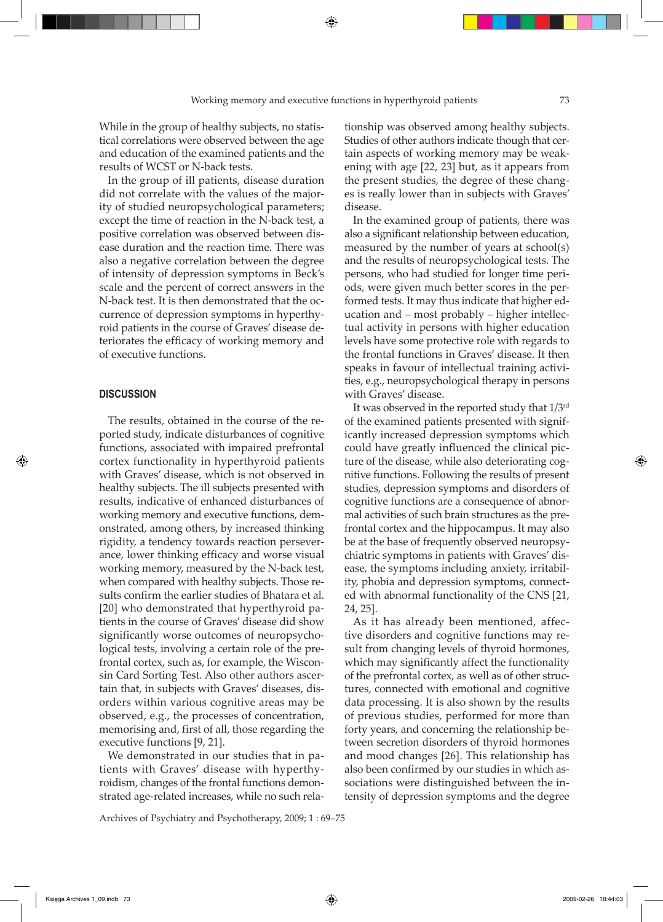⊕

While in the group of healthy subjects, no statistical correlations were observed between the age and education of the examined patients and the results of WCST or N-back tests.

In the group of ill patients, disease duration did not correlate with the values of the majority of studied neuropsychological parameters; except the time of reaction in the N-back test, a positive correlation was observed between disease duration and the reaction time. There was also a negative correlation between the degree of intensity of depression symptoms in Beck's scale and the percent of correct answers in the N-back test. It is then demonstrated that the occurrence of depression symptoms in hyperthyroid patients in the course of Graves' disease deteriorates the efficacy of working memory and of executive functions.

## **DISCUSSION**

⊕

The results, obtained in the course of the reported study, indicate disturbances of cognitive functions, associated with impaired prefrontal cortex functionality in hyperthyroid patients with Graves' disease, which is not observed in healthy subjects. The ill subjects presented with results, indicative of enhanced disturbances of working memory and executive functions, demonstrated, among others, by increased thinking rigidity, a tendency towards reaction perseverance, lower thinking efficacy and worse visual working memory, measured by the N-back test, when compared with healthy subjects. Those results confirm the earlier studies of Bhatara et al. [20] who demonstrated that hyperthyroid patients in the course of Graves' disease did show significantly worse outcomes of neuropsychological tests, involving a certain role of the prefrontal cortex, such as, for example, the Wisconsin Card Sorting Test. Also other authors ascertain that, in subjects with Graves' diseases, disorders within various cognitive areas may be observed, e.g., the processes of concentration, memorising and, first of all, those regarding the executive functions [9, 21].

We demonstrated in our studies that in patients with Graves' disease with hyperthyroidism, changes of the frontal functions demonstrated age-related increases, while no such rela-

Archives of Psychiatry and Psychotherapy, 2009; 1 : 69–75

tionship was observed among healthy subjects. Studies of other authors indicate though that certain aspects of working memory may be weakening with age [22, 23] but, as it appears from the present studies, the degree of these changes is really lower than in subjects with Graves' disease.

In the examined group of patients, there was also a significant relationship between education, measured by the number of years at school(s) and the results of neuropsychological tests. The persons, who had studied for longer time periods, were given much better scores in the performed tests. It may thus indicate that higher education and – most probably – higher intellectual activity in persons with higher education levels have some protective role with regards to the frontal functions in Graves' disease. It then speaks in favour of intellectual training activities, e.g., neuropsychological therapy in persons with Graves' disease.

It was observed in the reported study that 1/3rd of the examined patients presented with significantly increased depression symptoms which could have greatly influenced the clinical picture of the disease, while also deteriorating cognitive functions. Following the results of present studies, depression symptoms and disorders of cognitive functions are a consequence of abnormal activities of such brain structures as the prefrontal cortex and the hippocampus. It may also be at the base of frequently observed neuropsychiatric symptoms in patients with Graves' disease, the symptoms including anxiety, irritability, phobia and depression symptoms, connected with abnormal functionality of the CNS [21, 24, 25].

As it has already been mentioned, affective disorders and cognitive functions may result from changing levels of thyroid hormones, which may significantly affect the functionality of the prefrontal cortex, as well as of other structures, connected with emotional and cognitive data processing. It is also shown by the results of previous studies, performed for more than forty years, and concerning the relationship between secretion disorders of thyroid hormones and mood changes [26]. This relationship has also been confirmed by our studies in which associations were distinguished between the intensity of depression symptoms and the degree

Księga Archives 1\_09.indb 73 2009-02-26 18:44:03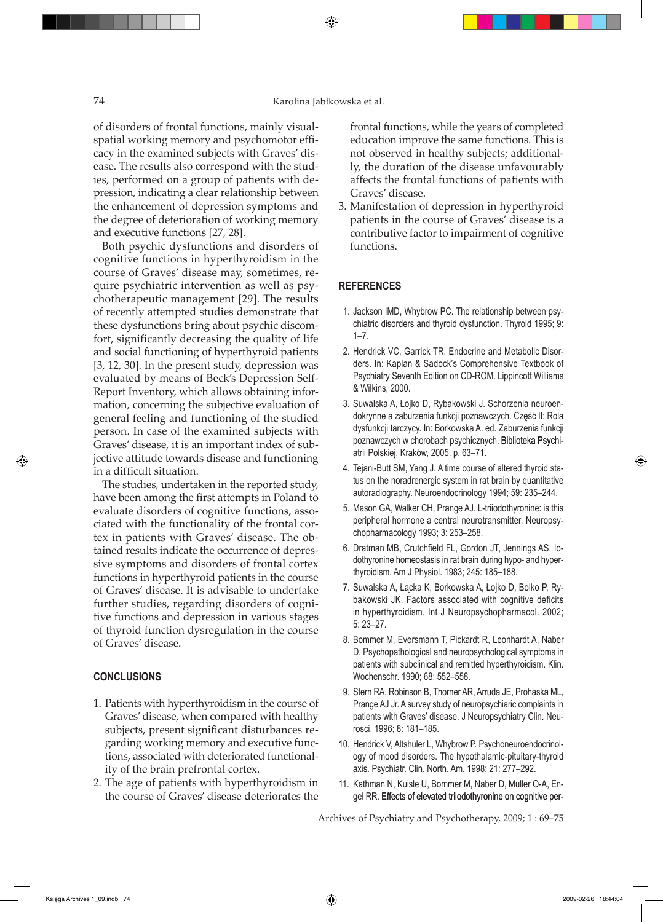## 74 Karolina Jabłkowska et al.

⊕

of disorders of frontal functions, mainly visualspatial working memory and psychomotor efficacy in the examined subjects with Graves' disease. The results also correspond with the studies, performed on a group of patients with depression, indicating a clear relationship between the enhancement of depression symptoms and the degree of deterioration of working memory and executive functions [27, 28].

Both psychic dysfunctions and disorders of cognitive functions in hyperthyroidism in the course of Graves' disease may, sometimes, require psychiatric intervention as well as psychotherapeutic management [29]. The results of recently attempted studies demonstrate that these dysfunctions bring about psychic discomfort, significantly decreasing the quality of life and social functioning of hyperthyroid patients [3, 12, 30]. In the present study, depression was evaluated by means of Beck's Depression Self-Report Inventory, which allows obtaining information, concerning the subjective evaluation of general feeling and functioning of the studied person. In case of the examined subjects with Graves' disease, it is an important index of subjective attitude towards disease and functioning in a difficult situation.

The studies, undertaken in the reported study, have been among the first attempts in Poland to evaluate disorders of cognitive functions, associated with the functionality of the frontal cortex in patients with Graves' disease. The obtained results indicate the occurrence of depressive symptoms and disorders of frontal cortex functions in hyperthyroid patients in the course of Graves' disease. It is advisable to undertake further studies, regarding disorders of cognitive functions and depression in various stages of thyroid function dysregulation in the course of Graves' disease.

## **CONCLUSIONS**

⊕

- 1. Patients with hyperthyroidism in the course of Graves' disease, when compared with healthy subjects, present significant disturbances regarding working memory and executive functions, associated with deteriorated functionality of the brain prefrontal cortex.
- 2. The age of patients with hyperthyroidism in the course of Graves' disease deteriorates the

frontal functions, while the years of completed education improve the same functions. This is not observed in healthy subjects; additionally, the duration of the disease unfavourably affects the frontal functions of patients with Graves' disease.

3. Manifestation of depression in hyperthyroid patients in the course of Graves' disease is a contributive factor to impairment of cognitive functions.

## **REFERENCES**

- 1. Jackson IMD, Whybrow PC. The relationship between psychiatric disorders and thyroid dysfunction. Thyroid 1995; 9: 1–7.
- 2. Hendrick VC, Garrick TR. Endocrine and Metabolic Disorders. In: Kaplan & Sadock's Comprehensive Textbook of Psychiatry Seventh Edition on CD-ROM. Lippincott Williams & Wilkins, 2000.
- 3. Suwalska A, Łojko D, Rybakowski J. Schorzenia neuroendokrynne a zaburzenia funkcji poznawczych. Część II: Rola dysfunkcji tarczycy. In: Borkowska A. ed. Zaburzenia funkcji poznawczych w chorobach psychicznych. Biblioteka Psychiatrii Polskiej, Kraków, 2005. p. 63–71.
- 4. Tejani-Butt SM, Yang J. A time course of altered thyroid status on the noradrenergic system in rat brain by quantitative autoradiography. Neuroendocrinology 1994; 59: 235–244.
- 5. Mason GA, Walker CH, Prange AJ. L-triiodothyronine: is this peripheral hormone a central neurotransmitter. Neuropsychopharmacology 1993; 3: 253–258.
- 6. Dratman MB, Crutchfield FL, Gordon JT, Jennings AS. Iodothyronine homeostasis in rat brain during hypo- and hyperthyroidism. Am J Physiol. 1983; 245: 185–188.
- 7. Suwalska A, Łącka K, Borkowska A, Łojko D, Bolko P, Rybakowski JK. Factors associated with cognitive deficits in hyperthyroidism. Int J Neuropsychopharmacol. 2002; 5: 23–27.
- 8. Bommer M, Eversmann T, Pickardt R, Leonhardt A, Naber D. Psychopathological and neuropsychological symptoms in patients with subclinical and remitted hyperthyroidism. Klin. Wochenschr. 1990; 68: 552–558.
- 9. Stern RA, Robinson B, Thorner AR, Arruda JE, Prohaska ML, Prange AJ Jr. A survey study of neuropsychiaric complaints in patients with Graves' disease. J Neuropsychiatry Clin. Neurosci. 1996; 8: 181–185.
- 10. Hendrick V, Altshuler L, Whybrow P. Psychoneuroendocrinology of mood disorders. The hypothalamic-pituitary-thyroid axis. Psychiatr. Clin. North. Am. 1998; 21: 277–292.
- 11. Kathman N, Kuisle U, Bommer M, Naber D, Muller O-A, Engel RR. Effects of elevated triiodothyronine on cognitive per-

Archives of Psychiatry and Psychotherapy, 2009; 1 : 69–75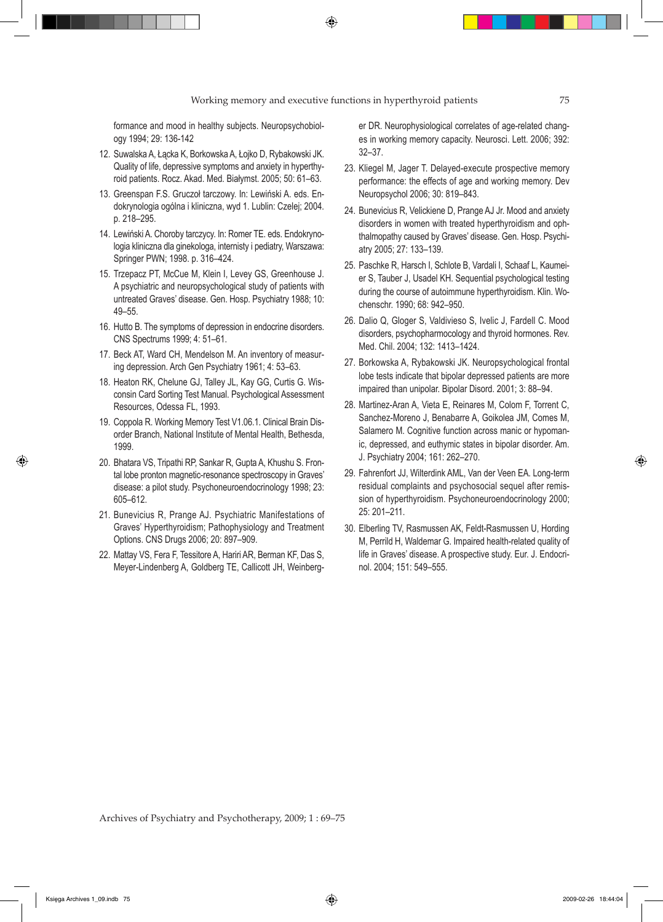formance and mood in healthy subjects. Neuropsychobiology 1994; 29: 136-142

- 12. Suwalska A, Łącka K, Borkowska A, Łojko D, Rybakowski JK. Quality of life, depressive symptoms and anxiety in hyperthyroid patients. Rocz. Akad. Med. Białymst. 2005; 50: 61–63.
- 13. Greenspan F.S. Gruczoł tarczowy. In: Lewiński A. eds. Endokrynologia ogólna i kliniczna, wyd 1. Lublin: Czelej; 2004. p. 218–295.
- 14. Lewiński A. Choroby tarczycy. In: Romer TE. eds. Endokrynologia kliniczna dla ginekologa, internisty i pediatry, Warszawa: Springer PWN; 1998. p. 316–424.
- 15. Trzepacz PT, McCue M, Klein I, Levey GS, Greenhouse J. A psychiatric and neuropsychological study of patients with untreated Graves' disease. Gen. Hosp. Psychiatry 1988; 10: 49–55.
- 16. Hutto B. The symptoms of depression in endocrine disorders. CNS Spectrums 1999; 4: 51–61.
- 17. Beck AT, Ward CH, Mendelson M. An inventory of measuring depression. Arch Gen Psychiatry 1961; 4: 53–63.
- 18. Heaton RK, Chelune GJ, Talley JL, Kay GG, Curtis G. Wisconsin Card Sorting Test Manual. Psychological Assessment Resources, Odessa FL, 1993.
- 19. Coppola R. Working Memory Test V1.06.1. Clinical Brain Disorder Branch, National Institute of Mental Health, Bethesda, 1999.
- 20. Bhatara VS, Tripathi RP, Sankar R, Gupta A, Khushu S. Frontal lobe pronton magnetic-resonance spectroscopy in Graves' disease: a pilot study. Psychoneuroendocrinology 1998; 23: 605–612.
- 21. Bunevicius R, Prange AJ. Psychiatric Manifestations of Graves' Hyperthyroidism; Pathophysiology and Treatment Options. CNS Drugs 2006; 20: 897–909.
- 22. Mattay VS, Fera F, Tessitore A, Hariri AR, Berman KF, Das S, Meyer-Lindenberg A, Goldberg TE, Callicott JH, Weinberg-

er DR. Neurophysiological correlates of age-related changes in working memory capacity. Neurosci. Lett. 2006; 392: 32–37.

- 23. Kliegel M, Jager T. Delayed-execute prospective memory performance: the effects of age and working memory. Dev Neuropsychol 2006; 30: 819–843.
- 24. Bunevicius R, Velickiene D, Prange AJ Jr. Mood and anxiety disorders in women with treated hyperthyroidism and ophthalmopathy caused by Graves' disease. Gen. Hosp. Psychiatry 2005; 27: 133–139.
- 25. Paschke R, Harsch I, Schlote B, Vardali I, Schaaf L, Kaumeier S, Tauber J, Usadel KH. Sequential psychological testing during the course of autoimmune hyperthyroidism. Klin. Wochenschr. 1990; 68: 942–950.
- 26. Dalio Q, Gloger S, Valdivieso S, Ivelic J, Fardell C. Mood disorders, psychopharmocology and thyroid hormones. Rev. Med. Chil. 2004; 132: 1413–1424.
- 27. Borkowska A, Rybakowski JK. Neuropsychological frontal lobe tests indicate that bipolar depressed patients are more impaired than unipolar. Bipolar Disord. 2001; 3: 88–94.
- 28. Martinez-Aran A, Vieta E, Reinares M, Colom F, Torrent C, Sanchez-Moreno J, Benabarre A, Goikolea JM, Comes M, Salamero M. Cognitive function across manic or hypomanic, depressed, and euthymic states in bipolar disorder. Am. J. Psychiatry 2004; 161: 262–270.
- 29. Fahrenfort JJ, Wilterdink AML, Van der Veen EA. Long-term residual complaints and psychosocial sequel after remission of hyperthyroidism. Psychoneuroendocrinology 2000; 25: 201–211.
- 30. Elberling TV, Rasmussen AK, Feldt-Rasmussen U, Hording M, Perrild H, Waldemar G. Impaired health-related quality of life in Graves' disease. A prospective study. Eur. J. Endocrinol. 2004; 151: 549–555.

Archives of Psychiatry and Psychotherapy, 2009; 1 : 69–75

⊕

◈